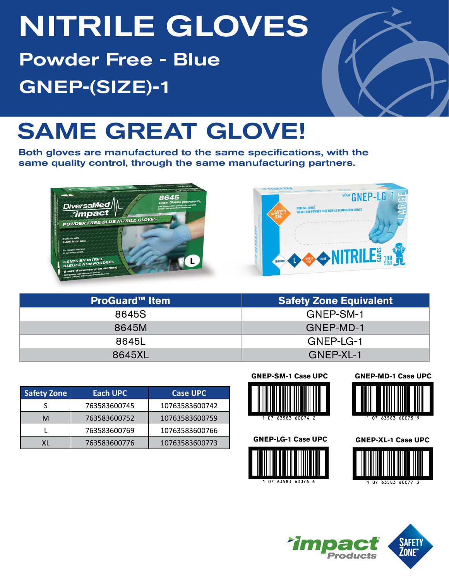# NITRILE GLOVES

Powder Free - Blue GNEP-(SIZE)-1



## SAME GREAT GLOVE!

Both gloves are manufactured to the same specifications, with the same quality control, through the same manufacturing partners.



| <b>ProGuard™ Item</b> | <b>Safety Zone Equivalent</b> |  |  |  |  |
|-----------------------|-------------------------------|--|--|--|--|
| 8645S                 | GNEP-SM-1                     |  |  |  |  |
| 8645M                 | GNEP-MD-1                     |  |  |  |  |
| 8645L                 | GNEP-LG-1                     |  |  |  |  |
| 8645XL                | GNEP-XL-1                     |  |  |  |  |

| <b>Safety Zone</b> | <b>Each UPC</b> | <b>Case UPC</b> |  |  |  |
|--------------------|-----------------|-----------------|--|--|--|
|                    | 763583600745    | 10763583600742  |  |  |  |
| м                  | 763583600752    | 10763583600759  |  |  |  |
|                    | 763583600769    | 10763583600766  |  |  |  |
| ΧL                 | 763583600776    | 10763583600773  |  |  |  |



**GNEP-LG-1 Case UPC**





63583 60075

**GNEP-XL-1 Case UPC**